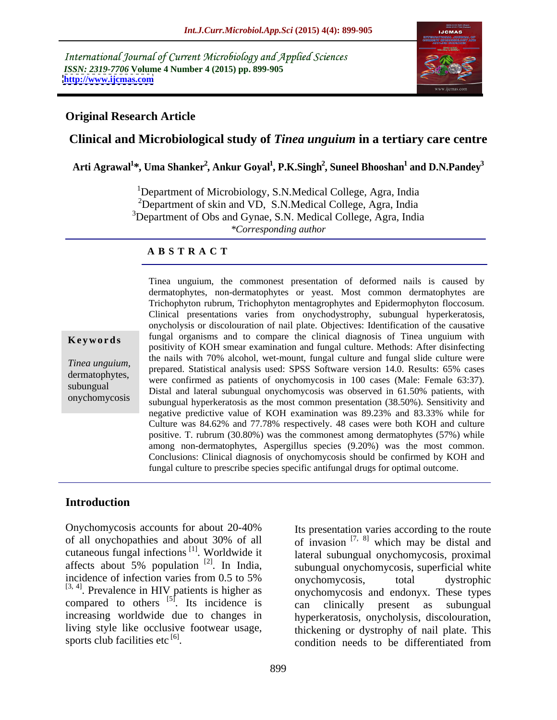International Journal of Current Microbiology and Applied Sciences *ISSN: 2319-7706* **Volume 4 Number 4 (2015) pp. 899-905 <http://www.ijcmas.com>**



## **Original Research Article**

# **Clinical and Microbiological study of** *Tinea unguium* **in a tertiary care centre**

 $\boldsymbol{\mathrm{Arti\text{-}Agrawal}}^{1*}, \boldsymbol{\mathrm{Uma\;Shanker}}^{2}, \boldsymbol{\mathrm{Ankur\;Goyal}}^{1}, \boldsymbol{\mathrm{P. K. Singh}}^{2}, \boldsymbol{\mathrm{Suneel\;Bhooshan}}^{1} \boldsymbol{\mathrm{and\;D. N. Pandey}}^{3}$  **and D.N.Pandey3**

<sup>1</sup>Department of Microbiology, S.N.Medical College, Agra, India <sup>2</sup>Department of skin and VD, S.N.Medical College, Agra, India  $3$ Department of Obs and Gynae, S.N. Medical College, Agra, India *\*Corresponding author*

### **A B S T R A C T**

onychomycosis

Tinea unguium, the commonest presentation of deformed nails is caused by dermatophytes, non-dermatophytes or yeast. Most common dermatophytes are Trichophyton rubrum, Trichophyton mentagrophytes and Epidermophyton floccosum. Clinical presentations varies from onychodystrophy, subungual hyperkeratosis, onycholysis or discolouration of nail plate. Objectives: Identification of the causative **Keywords** fungal organisms and to compare the clinical diagnosis of Tinea unguium with positivity of KOH smear examination and fungal culture. Methods: After disinfecting the nails with 70% alcohol, wet-mount, fungal culture and fungal slide culture were *Tinea unguium*,<br>dermatophytes, prepared. Statistical analysis used: SPSS Software version 14.0. Results: 65% cases<br>dermatophytes, were earliered as patients of envelopmentalis in 100 cases (Malay Ferrals 63:27) were confirmed as patients of onychomycosis in 100 cases (Male: Female 63:37). subungual Distal and lateral subungual onychomycosis in 100 cases (that extends to enter the contribution of the contribution of the contribution of the contribution of the contribution of the contribution of the contribut subungual hyperkeratosis as the most common presentation (38.50%). Sensitivity and negative predictive value of KOH examination was 89.23% and 83.33% while for Culture was 84.62% and 77.78% respectively. 48 cases were both KOH and culture positive. T. rubrum (30.80%) was the commonest among dermatophytes (57%) while among non-dermatophytes, Aspergillus species (9.20%) was the most common. Conclusions: Clinical diagnosis of onychomycosis should be confirmed by KOH and fungal culture to prescribe species specific antifungal drugs for optimal outcome.

## **Introduction**

Onychomycosis accounts for about 20-40% Its presentation varies according to the route of all onychopathies and about 30% of all  $\qquad$  of invasion  $[7, 8]$  which may be distal and cutaneous fungal infections<sup>[1]</sup>. Worldwide it affects about  $5\%$  population <sup>[2]</sup>. In India, incidence of infection varies from 0.5 to 5% onychomycosis, total dystrophic  $^{[3, 4]}$ . Prevalence in HIV patients is higher as  $^{[3, 4]}$  onychomycosis and endonyx. These types compared to others  $^{[5]}$ . Its incidence is a clinically present as subungual increasing worldwide due to changes in living style like occlusive footwear usage, thickening or dystrophy of nail plate. This

[1] . Worldwide it lateral subungual onychomycosis, proximal  $[2]$ . In India, subungual onychomycosis, superficial white Its incidence is can clinically present as subungual sports club facilities etc  $\begin{bmatrix} 6 \end{bmatrix}$ . For about 20-40% Its presentation varies according to the route<br>about 30% of all<br>of invasion  $[7, 8]$  which may be distal and<br> $18^{[1]}$ . Worldwide it<br>ation  $[2]$ . In India, subungual onychomycosis, superficial white<br>is fro onychomycosis, total dystrophic onychomycosis and endonyx. These types can clinically present as subungual hyperkeratosis, onycholysis, discolouration, condition needs to be differentiated from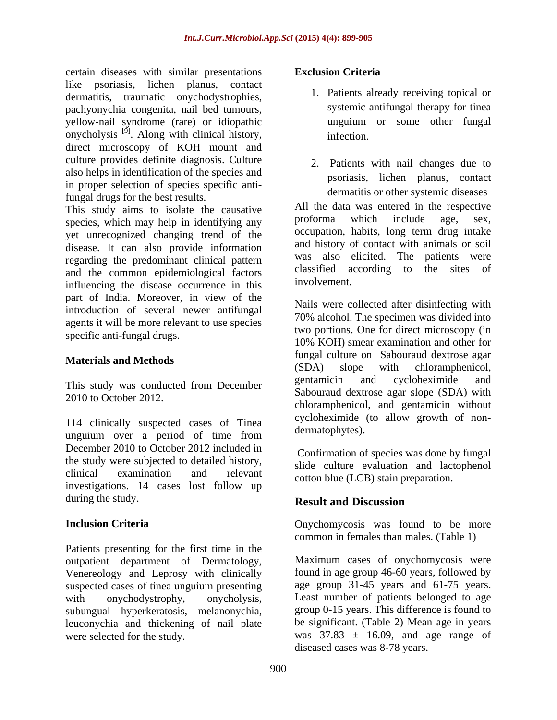certain diseases with similar presentations like psoriasis, lichen planus, contact dermatitis, traumatic onychodystrophies, pachyonychia congenita, nail bed tumours, yellow-nail syndrome (rare) or idiopathic onycholysis<sup>[9]</sup>. Along with clinical history, infection. direct microscopy of KOH mount and culture provides definite diagnosis. Culture also helps in identification of the species and in proper selection of species specific antifungal drugs for the best results.

This study aims to isolate the causative All the data was entered in the respective<br>species which may beln in identifying any proforma which include age, sex, species, which may help in identifying any yet unrecognized changing trend of the disease. It can also provide information regarding the predominant clinical pattern and the common epidemiological factors classified a<br>influencing the disease economics in this involvement. influencing the disease occurrence in this part of India. Moreover, in view of the introduction of several newer antifungal agents it will be more relevant to use species

114 clinically suspected cases of Tinea unguium over a period of time from December 2010 to October 2012 included in the study were subjected to detailed history, clinical examination and relevant cotton blue (LCB) stain preparation. investigations. 14 cases lost follow up during the study. **Result and Discussion** 

Patients presenting for the first time in the outpatient department of Dermatology, Venereology and Leprosy with clinically suspected cases of tinea unguium presenting<br>with onychodystrophy, onycholysis, subungual hyperkeratosis, melanonychia, leuconychia and thickening of nail plate

## **Exclusion Criteria**

- 1. Patients already receiving topical or systemic antifungal therapy for tinea unguium or some other fungal infection.
- 2. Patients with nail changes due to psoriasis, lichen planus, contact dermatitis or other systemic diseases

All the data was entered in the respective proforma which include age, sex, occupation, habits, long term drug intake and history of contact with animals or soil was also elicited. The patients were classified according to the sites of involvement.

specific anti-fungal drugs.<br>10% KOH) smear examination and other for **Materials and Methods Materials and Methods** (SDA) slope with chloramphenicol, This study was conducted from December gentamic and cycloheximide and This study was conducted from December 2010 to October 2012. chloramphenicol, and gentamicin without Nails were collected after disinfecting with 70% alcohol. The specimen was divided into two portions. One for direct microscopy (in 10% KOH) smear examination and other for fungal culture on Sabouraud dextrose agar (SDA) slope with chloramphenicol, gentamicin and cycloheximide and Sabouraud dextrose agar slope (SDA) with cycloheximide (to allow growth of non dermatophytes).

> Confirmation of species was done by fungal slide culture evaluation and lactophenol

# **Result and Discussion**

**Inclusion Criteria Criteria Criteria Criteria Criteria Criteria Criteria Criteria Criteria Criteria Criteria Criteria Criteria Criteria Criteria Criteria Criteria Criteria Criteria Cr** common in females than males. (Table 1)

with onychodystrophy, onycholysis, Least number of patients belonged to age were selected for the study.  $was$  37.83  $\pm$  16.09, and age range of Maximum cases of onychomycosis were found in age group 46-60 years, followed by age group 31-45 years and 61-75 years. group 0-15 years. This difference is found to be significant. (Table 2) Mean age in years diseased cases was 8-78 years.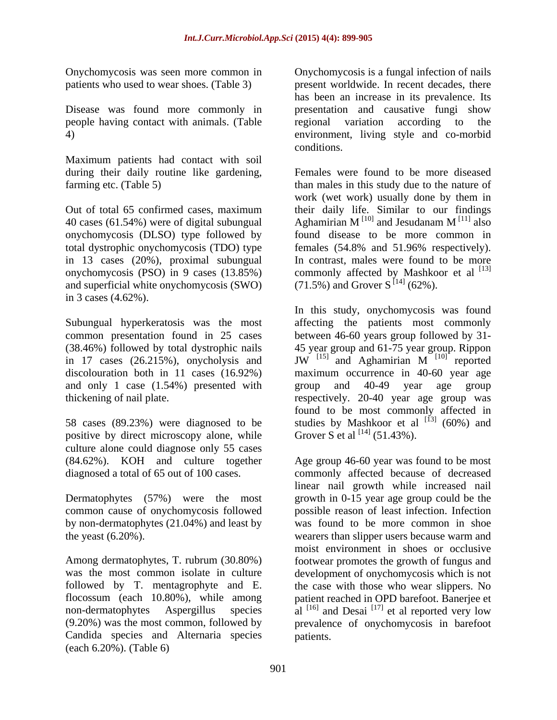people having contact with animals. (Table

Maximum patients had contact with soil during their daily routine like gardening,

40 cases (61.54%) were of digital subungual Aghamirian M<sup>[10]</sup> and Jesudanam M<sup>[11]</sup> also onychomycosis (DLSO) type followed by total dystrophic onychomycosis (TDO) type and superficial white onychomycosis (SWO) in 3 cases (4.62%).

in 17 cases (26.215%), onycholysis and  $JW$ <sup>[15]</sup> and Aghamirian  $M$ <sup>[10]</sup> reported and only 1 case (1.54%) presented with group and 40-49 year age group

positive by direct microscopy alone, while culture alone could diagnose only 55 cases (84.62%). KOH and culture together

Dermatophytes (57%) were the most common cause of onychomycosis followed by non-dermatophytes (21.04%) and least by

Candida species and Alternaria species (each 6.20%). (Table 6)

Onychomycosis was seen more common in Onychomycosis is a fungal infection of nails patients who used to wear shoes. (Table 3) present worldwide. In recent decades, there Disease was found more commonly in presentation and causative fungi show 4) environment, living style and co-morbid has been an increase in its prevalence. Its regional variation according to the conditions.

farming etc. (Table 5) than males in this study due to the nature of Out of total 65 confirmed cases, maximum their daily life. Similar to our findings in 13 cases (20%), proximal subungual In contrast, males were found to be more onychomycosis (PSO) in 9 cases  $(13.85%)$  commonly affected by Mashkoor et al  $^{[13]}$ Females were found to be more diseased work (wet work) usually done by them in Aghamirian  $M^{\{10\}}$  and Jesudanam  $M^{\{11\}}$  also  $^{[10]}$  and Jesudanam M $^{[11]}$  also  $^{[11]}$  also found disease to be more common in females (54.8% and 51.96% respectively).  $(71.5\%)$  and Grover S<sup>[14]</sup> (62%).

Subungual hyperkeratosis was the most affecting the patients most commonly common presentation found in 25 cases between 46-60 years group followed by 31- (38.46%) followed by total dystrophic nails 45 year group and 61-75 year group. Rippon discolouration both in 11 cases (16.92%) maximum occurrence in 40-60 year age thickening of nail plate. respectively. 20-40 year age group was 58 cases (89.23%) were diagnosed to be studies by Mashkoor et al  $^{[13]}$  (60%) and In this study, onychomycosis was found JW  $^{[15]}$  and Aghamirian M  $^{[10]}$  reported  $[10]$  reported reported group and 40-49 year age group found to be most commonly affected in Grover S et al  $^{[14]}$  (51.43%).

diagnosed a total of 65 out of 100 cases. commonly affected because of decreased the yeast (6.20%). wearers than slipper users because warm and Among dermatophytes, T. rubrum (30.80%) footwear promotes the growth of fungus and was the most common isolate in culture development of onychomycosis which is not followed by T. mentagrophyte and E. the case with those who wear slippers. No flocossum (each 10.80%), while among patient reached in OPD barefoot. Banerjee et non-dermatophytes Aspergillus species al <sup>[16]</sup> and Desai <sup>[17]</sup> et al reported very low (9.20%) was the most common, followed by prevalence of onychomycosis in barefoot Age group 46-60 year was found to be most linear nail growth while increased nail growth in 0-15 year age group could be the possible reason of least infection. Infection was found to be more common in shoe moist environment in shoes or occlusive patients.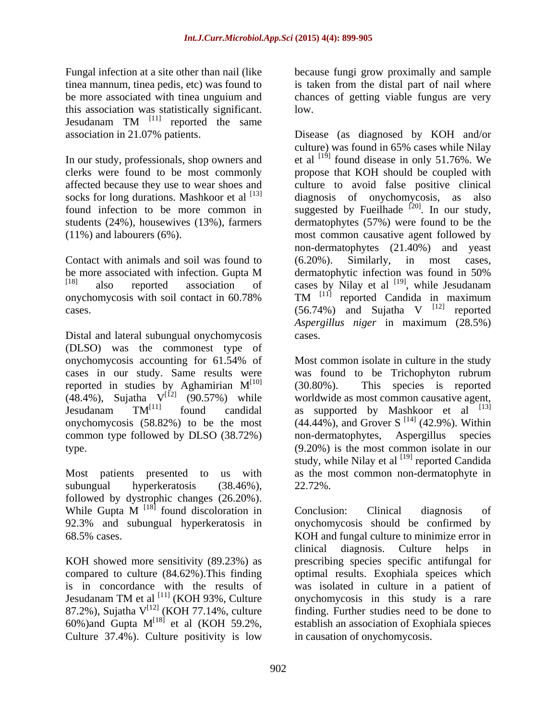this association was statistically significant. Jesudanam TM <sup>[11]</sup> reported the same Jesudanam  $TM$ <sup>[11]</sup> reported the same reported the same

socks for long durations. Mashkoor et al  $^{[13]}$ 

Contact with animals and soil was found to (6.20%). Similarly, in most cases,

Distal and lateral subungual onychomycosis cases. (DLSO) was the commonest type of cases in our study. Same results were reported in studies by Aghamirian  $M^{[10]}$  (30.80%). This species is reported onychomycosis (58.82%) to be the most common type followed by DLSO (38.72%) non-dermatophytes,

subungual hyperkeratosis (38.46%), followed by dystrophic changes (26.20%).<br>While Gupta M <sup>[18]</sup> found discoloration in Conclusion: Clinical diagnosis of While Gupta  $M$ <sup>[18]</sup> found discoloration in Conclusion: Clinical diagnosis of 92.3% and subungual hyperkeratosis in

KOH showed more sensitivity (89.23%) as is in concordance with the results of Jesudanam TM et al <sup>[11]</sup> (KOH 93%, Culture Culture 37.4%). Culture positivity is low

Fungal infection at a site other than nail (like because fungi grow proximally and sample tinea mannum, tinea pedis, etc) was found to is taken from the distal part of nail where be more associated with tinea unguium and chances of getting viable fungus are very low.

association in 21.07% patients. Disease (as diagnosed by KOH and/or In our study, professionals, shop owners and  $et$  al  $^{[19]}$  found disease in only 51.76%. We clerks were found to be most commonly propose that KOH should be coupled with affected because they use to wear shoes and culture to avoid false positive clinical found infection to be more common in suggested by Fueilhade  $[20]$ . In our study, students (24%), housewives (13%), farmers dermatophytes (57%) were found to be the (11%) and labourers (6%). most common causative agent followed by be more associated with infection. Gupta M dermatophytic infection was found in 50%  $[18]$  also reported association of cases by Nilay et al  $[19]$ , while Jesudanam onychomycosis with soil contact in  $60.78\%$  TM  $^{[11]}$  reported Candida in maximum cases.  $(56.74%)$  and Sujatha V  $^{[12]}$  reported culture) was found in 65% cases while Nilay diagnosis of onychomycosis, as also . In our study, non-dermatophytes (21.40%) and yeast (6.20%). Similarly, in most cases, dermatophytic infection was found in 50% , while Jesudanam reported Candida in maximum  $[12]$  reported reported *Aspergillus niger* in maximum (28.5%) cases.

onychomycosis accounting for 61.54% of reported in studies by Aghamirian  $M<sup>[10]</sup>$  (30.80%). This species is reported (48.4%), Sujatha  $V^{[12]}$  (90.57%) while worldwide as most common causative agent, Jesudanam  $TM^{[11]}$  found candidal as supported by Mashkoor et al  $^{[13]}$ type. (9.20%) is the most common isolate in our Most patients presented to us with as the most common non-dermatophyte in Most common isolate in culture in the study was found to be Trichophyton rubrum (30.80%). This species is reported  $(44.44\%)$ , and Grover S<sup>[14]</sup> (42.9%). Within  $[14]$  (42.9%). Within Aspergillus species study, while Nilay et al  $^{[19]}$  reported Candida reported Candida 22.72%.

68.5% cases. KOH and fungal culture to minimize error in compared to culture (84.62%).This finding optimal results. Exophiala speices which 87.2%), Sujatha  $V^{[12]}$  (KOH 77.14%, culture finding. Further studies need to be done to  $^{[12]}$  (KOH 77.14%, culture finding. Further studies need to be done to 60%) and Gupta  $M<sup>{18}</sup>$  et al (KOH 59.2%, establish an association of Exophiala spieces  $^{[18]}$  et al (KOH 59.2%, establish an association of Exophiala spieces Conclusion: Clinical diagnosis of onychomycosis should be confirmed by clinical diagnosis. Culture helps in prescribing species specific antifungal for was isolated in culture in a patient of onychomycosis in this study is a rare in causation of onychomycosis.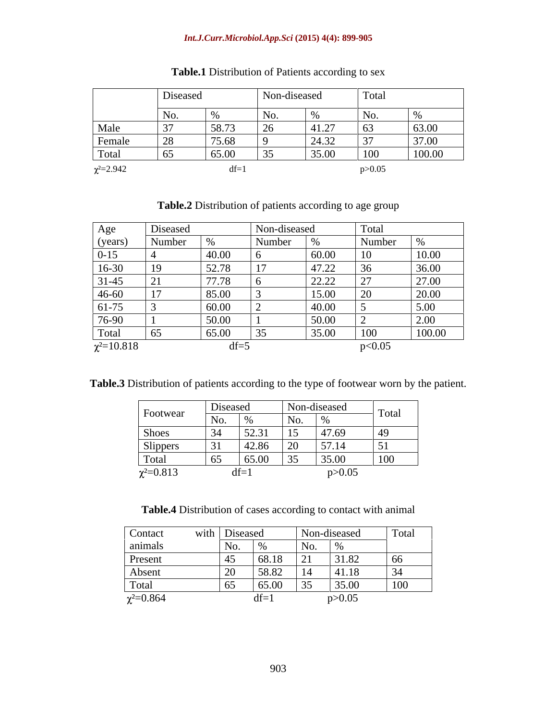## *Int.J.Curr.Microbiol.App.Sci* **(2015) 4(4): 899-905**

|                  | Diseased             |       | Non-diseased |        | Total    |                |
|------------------|----------------------|-------|--------------|--------|----------|----------------|
|                  | NO.                  |       | <b>INO</b>   |        | NO.      |                |
| Male             |                      | 58.73 | $\sim$       | 41.27  | L 63.    | 63.00          |
| <b>Female</b>    | $\sim$ $\sim$ $\sim$ | 75.68 |              | 24.32  | $J \cup$ | 27.00<br>31.00 |
| Total            |                      | 65.00 |              | 135.00 | 100      | 100.00         |
| $\chi^2 = 2.942$ |                      |       |              |        |          |                |

| Table.1 Distribution of Patients according to sex |  |
|---------------------------------------------------|--|
|                                                   |  |

| Table.2 Distribution of patients according to age group |  |
|---------------------------------------------------------|--|
|                                                         |  |

| Age                                     | Diseased |                 | Non-diseased  |       | Total                                       |        |
|-----------------------------------------|----------|-----------------|---------------|-------|---------------------------------------------|--------|
| (years)                                 | Number   |                 | Number        |       | Number                                      | 0/2    |
| $0-15$                                  |          | 40.00           |               | 60.00 | 10                                          | 10.00  |
| $16-30$                                 | $\perp$  | 52.78           | <sup>17</sup> | 47.22 | 36                                          | 36.00  |
| $31-45$                                 | 21       | 7770<br>11.10   |               | 22.22 | $\mathcal{L}$<br>$\angle$ $\angle$ $\angle$ | 27.00  |
|                                         |          | 85.00           |               | 15.00 |                                             | 20.00  |
|                                         |          | 60.00           |               | 40.00 |                                             | 5.00   |
| $\frac{46-60}{61-75}$ $\frac{76-90}{6}$ |          | $\boxed{50.00}$ |               | 50.00 |                                             | 2.00   |
| Total                                   | 65       | 65.00           | 35            | 35.00 | $\Omega$<br><b>LUU</b>                      | 100.00 |
| $\chi^2 = 10.818$                       |          | $df =$          |               |       | p<0.05                                      |        |

**Table.3** Distribution of patients according to the type of footwear worn by the patient.

|                  | Diseased                                       |              | Non-diseased         |              |
|------------------|------------------------------------------------|--------------|----------------------|--------------|
| Footwear         | $\vert$ No.<br>0/2<br>$\overline{\phantom{a}}$ | $\mathbf{N}$ |                      | Total        |
| Shoes            | 52.31<br>$2\Lambda$                            | 15           | 47.69                | $ 49\rangle$ |
| Slippers         | 42.86                                          | $\sim$       | 57.14                | 51           |
| Total            | 65.00<br>65                                    | ັບປ          | 35.00                | $\mid$ 100   |
| $\chi^2 = 0.813$ | $n - 1$                                        |              | $\sim 0.05$<br>20.03 |              |

**Table.4** Distribution of cases according to contact with animal

| Contact          | with Diseased                |                                           | Non-diseased  | Total          |
|------------------|------------------------------|-------------------------------------------|---------------|----------------|
| animals          | No.                          | No.                                       |               |                |
| <b>Present</b>   | 68.18<br>$\Lambda$           | 21                                        | 31.82         | 66             |
| Absent           | 58.82                        | $\begin{bmatrix} 1 & 1 & A \end{bmatrix}$ | A118<br>T1.11 | 34             |
| Total            | 65.00<br>$\epsilon$<br>1 V.J | $\sim$ $\sim$ $\sim$<br>$\overline{3}$    | 35.00         | $100 -$<br>TOO |
| $\chi^2 = 0.864$ | $10-1$                       |                                           | p > 0.05      |                |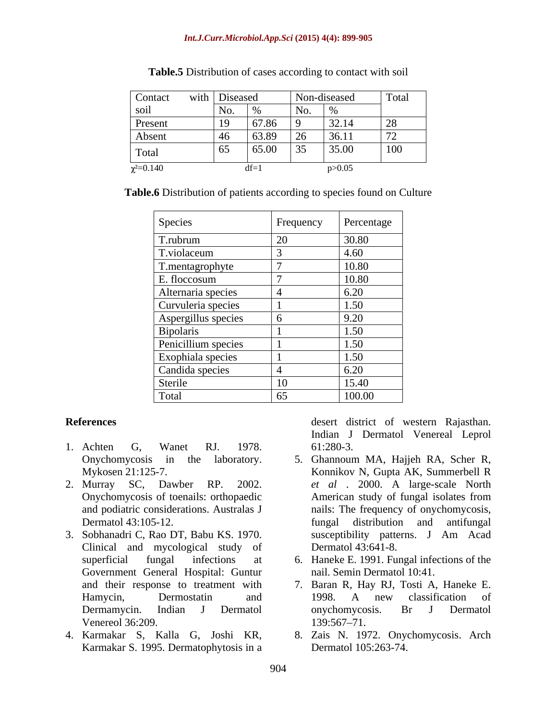| Contac           | $\sim$ $\sim$ $\sim$<br>with   Diseased |                          |                 | Non-diseased<br>--- -------                         | Total  |
|------------------|-----------------------------------------|--------------------------|-----------------|-----------------------------------------------------|--------|
| ,,,              |                                         |                          |                 |                                                     |        |
| Present          |                                         | 67.86                    |                 | $\begin{array}{ccc} 22 & 14 \end{array}$<br>J = . 1 | $\sim$ |
| Absent           |                                         | 63.80                    | $\sim$          | 36.11                                               | 72     |
| Total            |                                         | 65.00                    | $-35$<br>$\cup$ | 35.00                                               | 100    |
| $\chi^2 = 0.140$ |                                         | $\overline{\phantom{a}}$ |                 |                                                     |        |

**Table.5** Distribution of cases according to contact with soil

**Table.6** Distribution of patients according to species found on Culture

| Species             | Frequency | Percentage |
|---------------------|-----------|------------|
| T.rubrum            | 20        | 30.80      |
| T.violaceum         |           | 4.60       |
| T.mentagrophyte     |           | 10.80      |
| E. floccosum        |           | 10.80      |
| Alternaria species  |           | 6.20       |
| Curvuleria species  |           | 1.50       |
| Aspergillus species |           | 9.20       |
| Bipolaris           |           | 1.50       |
| Penicillium species |           | 1.50       |
| Exophiala species   |           | 1.50       |
| Candida species     |           | 6.20       |
| Sterile             | 10        | 15.40      |
| Total               | 65        | 100.00     |

- 1. Achten G, Wanet RJ. 1978.
- 
- 3. Sobhanadri C, Rao DT, Babu KS. 1970. Clinical and mycological study of Government General Hospital: Guntur Venereol 36:209. 139:567-71.
- Karmakar S. 1995. Dermatophytosis in a

**References** desert district of western Rajasthan. Indian J Dermatol Venereal Leprol 61:280-3.

- Onychomycosis in the laboratory. 5. Ghannoum MA, Hajjeh RA, Scher R, Mykosen 21:125-7. Konnikov N, Gupta AK, Summerbell R 2. Murray SC, Dawber RP. 2002. *et al* . 2000. A large-scale North Onychomycosis of toenails: orthopaedic American study of fungal isolates from and podiatric considerations. Australas J nails: The frequency of onychomycosis, Dermatol 43:105-12. **Example 1** fungal distribution and antifungal fungal distribution and antifungal susceptibility patterns. J Am Acad Dermatol 43:641-8.
	- superficial fungal infections at 6. Haneke E. 1991. Fungal infections of the nail. Semin Dermatol 10:41.
	- and their response to treatment with 7. Baran R, Hay RJ, Tosti A, Haneke E. Hamycin, Dermostatin and 1998. A new classification of Dermamycin. Indian J Dermatol 1998. A new classification of onychomycosis. Br J Dermatol 139:567–71.
- 4. Karmakar S, Kalla G, Joshi KR, 8. Zais N. 1972. Onychomycosis. Arch Dermatol 105:263-74.